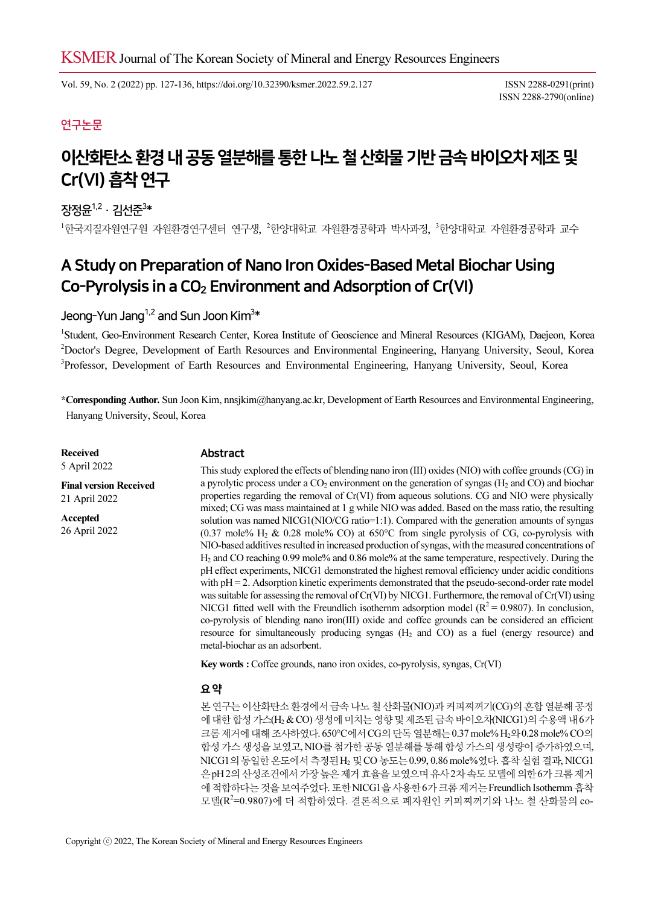Vol. 59, No. 2 (2022) pp. 127-136, https://doi.org/10.32390/ksmer.2022.59.2.127 ISSN 2288-0291(print)

ISSN 2288-2790(online)

## 연구논문

# 이산화탄소 환경 내 공동 열분해를 통한 나노 철 산화물 기반 금속 바이오차 제조 및 Cr(VI) 흡착 연구

## 장정윤 $^{1,2}$  · 김선준 $^{3\ast}$

<sup>1</sup>한국지질자원연구원 자원환경연구센터 연구생, <sup>2</sup>한양대학교 자원환경공학과 박사과정, <sup>3</sup>한양대학교 자원환경공학과 교수

## A Study on Preparation of Nano Iron Oxides-Based Metal Biochar Using Co-Pyrolysis in a  $CO<sub>2</sub>$  Environment and Adsorption of Cr(VI)

## Jeong-Yun Jang $^{1,2}$  and Sun Joon Kim $^{3\ast}$

<sup>1</sup>Student, Geo-Environment Research Center, Korea Institute of Geoscience and Mineral Resources (KIGAM), Daejeon, Korea 2 Doctor's Degree, Development of Earth Resources and Environmental Engineering, Hanyang University, Seoul, Korea <sup>3</sup>Professor, Development of Earth Resources and Environmental Engineering, Hanyang University, Seoul, Korea

\*Corresponding Author. Sun Joon Kim, nnsjkim@hanyang.ac.kr, Development of Earth Resources and Environmental Engineering, Hanyang University, Seoul, Korea

Received 5 April 2022

Final version Received 21 April 2022 Accepted 26 April 2022

#### Abstract

This study explored the effects of blending nano iron (III) oxides (NIO) with coffee grounds (CG) in a pyrolytic process under a  $CO<sub>2</sub>$  environment on the generation of syngas (H<sub>2</sub> and CO) and biochar properties regarding the removal of Cr(VI) from aqueous solutions. CG and NIO were physically mixed; CG was mass maintained at 1 g while NIO was added. Based on the mass ratio, the resulting solution was named NICG1(NIO/CG ratio=1:1). Compared with the generation amounts of syngas (0.37 mole%  $H_2 \& 0.28$  mole% CO) at 650°C from single pyrolysis of CG, co-pyrolysis with NIO-based additives resulted in increased production of syngas, with the measured concentrations of H2 and CO reaching 0.99 mole% and 0.86 mole% at the same temperature, respectively. During the pH effect experiments, NICG1 demonstrated the highest removal efficiency under acidic conditions with pH = 2. Adsorption kinetic experiments demonstrated that the pseudo-second-order rate model was suitable for assessing the removal of Cr(VI) by NICG1. Furthermore, the removal of Cr(VI) using NICG1 fitted well with the Freundlich isothernm adsorption model ( $R^2$  = 0.9807). In conclusion, co-pyrolysis of blending nano iron(III) oxide and coffee grounds can be considered an efficient resource for simultaneously producing syngas  $(H<sub>2</sub>$  and CO) as a fuel (energy resource) and metal-biochar as an adsorbent.

Key words : Coffee grounds, nano iron oxides, co-pyrolysis, syngas, Cr(VI)

#### 요 약

본 연구는 이산화탄소 환경에서 금속 나노 철 산화물(NIO)과 커피찌꺼기(CG)의 혼합 열분해 공정 에 대한 합성 가스(H2 & CO) 생성에 미치는 영향 및 제조된 금속 바이오차(NICG1)의 수용액 내 6가 크롬 제거에 대해 조사하였다. 650°C에서 CG의 단독 열분해는 0.37 mole% H2와 0.28 mole% CO의 합성 가스 생성을 보였고, NIO를 첨가한 공동 열분해를 통해 합성 가스의 생성량이 증가하였으며, NICG1의 동일한 온도에서 측정된 H2 및 CO 농도는 0.99, 0.86 mole%였다. 흡착 실험 결과, NICG1 은 pH 2의 산성조건에서 가장 높은 제거 효율을 보였으며 유사 2차 속도 모델에 의한 6가 크롬 제거 에 적합하다는 것을 보여주었다. 또한 NICG1을 사용한 6가 크롬 제거는 Freundlich Isothernm 흡착 모델(R<sup>2</sup>=0.9807)에 더 적합하였다. 결론적으로 폐자원인 커피찌꺼기와 나노 철 산화물의 co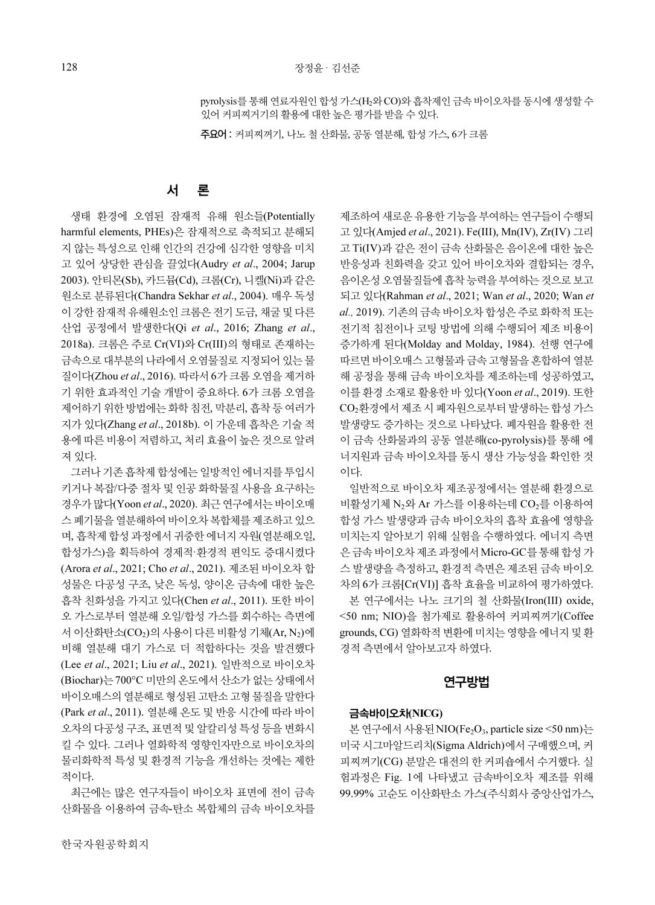pyrolysis를 통해 연료자원인 합성 가스(H2와 CO)와 흡착제인 금속 바이오차를 동시에 생성할 수 있어 커피찌거기의 활용에 대한 높은 평가를 받을 수 있다.

주요어 : 커피찌꺼기, 나노 철 산화물, 공동 열분해, 합성 가스, 6가 크롬

#### 서 론

생태 환경에 오염된 잠재적 유해 원소들(Potentially harmful elements, PHEs)은 잠재적으로 축적되고 분해되 지 않는 특성으로 인해 인간의 건강에 심각한 영향을 미치 고 있어 상당한 관심을 끌었다(Audry et al., 2004; Jarup 2003). 안티몬(Sb), 카드뮴(Cd), 크롬(Cr), 니켈(Ni)과 같은 원소로 분류된다(Chandra Sekhar et al., 2004). 매우 독성 이 강한 잠재적 유해원소인 크롬은 전기 도금, 채굴 및 다른 산업 공정에서 발생한다(Qi et al., 2016; Zhang et al., 2018a). 크롬은 주로 Cr(VI)와 Cr(III)의 형태로 존재하는 금속으로 대부분의 나라에서 오염물질로 지정되어 있는 물 질이다(Zhou et al., 2016). 따라서 6가 크롬 오염을 제거하 기 위한 효과적인 기술 개발이 중요하다. 6가 크롬 오염을 제어하기 위한 방법에는 화학 침전, 막분리, 흡착 등 여러가 지가 있다(Zhang et al., 2018b). 이 가운데 흡착은 기술 적 용에 따른 비용이 저렴하고, 처리 효율이 높은 것으로 알려 져 있다.

그러나 기존 흡착제 합성에는 일방적인 에너지를 투입시 키거나 복잡/다중 절차 및 인공 화학물질 사용을 요구하는 경우가 많다(Yoon et al., 2020). 최근 연구에서는 바이오매 스 폐기물을 열분해하여 바이오차 복합체를 제조하고 있으 며, 흡착제 합성 과정에서 귀중한 에너지 자원(열분해오일, 합성가스)을 획득하여 경제적·환경적 편익도 증대시켰다 (Arora et al., 2021; Cho et al., 2021). 제조된 바이오차 합 성물은 다공성 구조, 낮은 독성, 양이온 금속에 대한 높은 흡착 친화성을 가지고 있다(Chen et al., 2011). 또한 바이 오 가스로부터 열분해 오일/합성 가스를 회수하는 측면에 서 이산화탄소(CO<sub>2</sub>)의 사용이 다른 비활성 기체(Ar, N<sub>2</sub>)에 비해 열분해 대기 가스로 더 적합하다는 것을 발견했다 (Lee et al., 2021; Liu et al., 2021). 일반적으로 바이오차 (Biochar)는 700°C 미만의 온도에서 산소가 없는 상태에서 바이오매스의 열분해로 형성된 고탄소 고형 물질을 말한다 (Park et al., 2011). 열분해 온도 및 반응 시간에 따라 바이 오차의 다공성 구조, 표면적 및 알칼리성 특성 등을 변화시 킬 수 있다. 그러나 열화학적 영향인자만으로 바이오차의 물리화학적 특성 및 환경적 기능을 개선하는 것에는 제한 적이다.

최근에는 많은 연구자들이 바이오차 표면에 전이 금속 산화물을 이용하여 금속-탄소 복합체의 금속 바이오차를

제조하여 새로운 유용한 기능을 부여하는 연구들이 수행되 고 있다(Amjed et al., 2021). Fe(III), Mn(IV), Zr(IV) 그리 고 Ti(IV)과 같은 전이 금속 산화물은 음이온에 대한 높은 반응성과 친화력을 갖고 있어 바이오차와 결합되는 경우, 음이온성 오염물질들에 흡착 능력을 부여하는 것으로 보고 되고 있다(Rahman et al., 2021; Wan et al., 2020; Wan et al., 2019). 기존의 금속 바이오차 합성은 주로 화학적 또는 전기적 침전이나 코팅 방법에 의해 수행되어 제조 비용이 증가하게 된다(Molday and Molday, 1984). 선행 연구에 따르면 바이오매스 고형물과 금속 고형물을 혼합하여 열분 해 공정을 통해 금속 바이오차를 제조하는데 성공하였고, 이를 환경 소재로 활용한 바 있다(Yoon et al., 2019). 또한 CO<sub>2</sub>화경에서 제조 시 폐자워으로부터 발생하는 합성 가스 발생량도 증가하는 것으로 나타났다. 폐자원을 활용한 전 이 금속 산화물과의 공동 열분해(co-pyrolysis)를 통해 에 너지원과 금속 바이오차를 동시 생산 가능성을 확인한 것 이다.

일반적으로 바이오차 제조공정에서는 열분해 환경으로 비활성기체 N2와 Ar 가스를 이용하는데 CO2를 이용하여 합성 가스 발생량과 금속 바이오차의 흡착 효율에 영향을 미치는지 알아보기 위해 실험을 수행하였다. 에너지 측면 은 금속 바이오차 제조 과정에서 Micro-GC를 통해 합성 가 스 발생량을 측정하고, 환경적 측면은 제조된 금속 바이오 차의 6가 크롬[Cr(VI)] 흡착 효율을 비교하여 평가하였다.

본 연구에서는 나노 크기의 철 산화물(Iron(III) oxide, <50 nm; NIO)을 첨가제로 활용하여 커피찌꺼기(Coffee grounds, CG) 열화학적 변환에 미치는 영향을 에너지 및 환 경적 측면에서 알아보고자 하였다.

#### 연구방법

#### 금속바이오차(NICG)

본 연구에서 사용된 NIO(Fe<sub>2</sub>O<sub>3</sub>, particle size <50 nm)는 미국 시그마알드리치(Sigma Aldrich)에서 구매했으며, 커 피찌꺼기(CG) 분말은 대전의 한 커피숍에서 수거했다. 실 험과정은 Fig. 1에 나타냈고 금속바이오차 제조를 위해 99.99% 고순도 이산화탄소 가스(주식회사 중앙산업가스,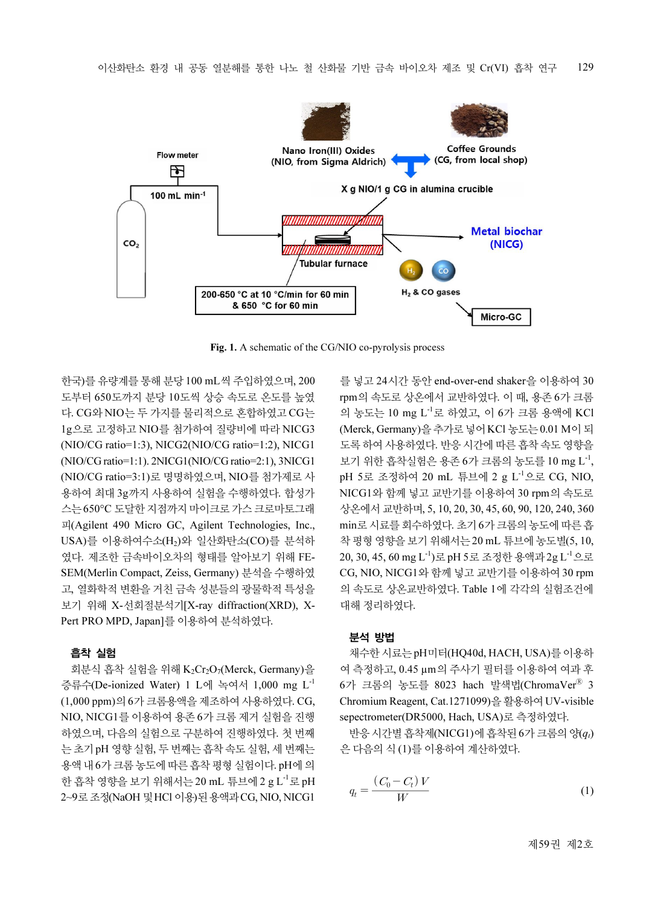

Fig. 1. A schematic of the CG/NIO co-pyrolysis process

한국)를 유량계를 통해 분당 100 mL씩 주입하였으며, 200 도부터 650도까지 분당 10도씩 상승 속도로 온도를 높였 다. CG와 NIO는 두 가지를 물리적으로 혼합하였고 CG는 1g으로 고정하고 NIO를 첨가하여 질량비에 따라 NICG3 (NIO/CG ratio=1:3), NICG2(NIO/CG ratio=1:2), NICG1 (NIO/CG ratio=1:1). 2NICG1(NIO/CG ratio=2:1), 3NICG1 (NIO/CG ratio=3:1)로 명명하였으며, NIO를 첨가제로 사 용하여 최대 3g까지 사용하여 실험을 수행하였다. 합성가 스는 650°C 도달한 지점까지 마이크로 가스 크로마토그래 피(Agilent 490 Micro GC, Agilent Technologies, Inc., USA)를 이용하여수소(H2)와 일산화탄소(CO)를 분석하 였다. 제조한 금속바이오차의 형태를 알아보기 위해 FE-SEM(Merlin Compact, Zeiss, Germany) 분석을 수행하였 고, 열화학적 변환을 거친 금속 성분들의 광물학적 특성을 보기 위해 X-선회절분석기[X-ray diffraction(XRD), X-Pert PRO MPD, Japan]를 이용하여 분석하였다.

#### 흡착 실험

회분식 흡착 실험을 위해 K2Cr2O7(Merck, Germany)을 증류수(De-ionized Water) 1 L에 녹여서 1,000 mg L-1 (1,000 ppm)의 6가 크롬용액을 제조하여 사용하였다. CG, NIO, NICG1를 이용하여 용존 6가 크롬 제거 실험을 진행 하였으며, 다음의 실험으로 구분하여 진행하였다. 첫 번째 는 초기 pH 영향 실험, 두 번째는 흡착 속도 실험, 세 번째는 용액 내 6가 크롬 농도에 따른 흡착 평형 실험이다. pH에 의 한 흡착 영향을 보기 위해서는 20 mL 튜브에 2 g L<sup>-1</sup>로 pH 2~9로 조정(NaOH 및 HCl 이용)된 용액과 CG, NIO, NICG1

를 넣고 24시간 동안 end-over-end shaker을 이용하여 30 rpm의 속도로 상온에서 교반하였다. 이 때, 용존 6가 크롬 의 농도는 10 mg L-1로 하였고, 이 6가 크롬 용액에 KCl (Merck, Germany)을 추가로 넣어 KCl 농도는 0.01 M이 되 도록 하여 사용하였다. 반응 시간에 따른 흡착 속도 영향을 보기 위한 흡착실험은 용존 6가 크롬의 농도를 10 mg L<sup>-1</sup>, pH 5로 조정하여 20 mL 튜브에 2 g L-1으로 CG, NIO, NICG1와 함께 넣고 교반기를 이용하여 30 rpm의 속도로 상온에서 교반하며, 5, 10, 20, 30, 45, 60, 90, 120, 240, 360 min로 시료를 회수하였다. 초기 6가 크롬의 농도에 따른 흡 착 평형 영향을 보기 위해서는 20 mL 튜브에 농도별(5, 10, 20, 30, 45, 60 mg L-1)로 pH 5로 조정한 용액과 2g L-1으로 CG, NIO, NICG1와 함께넣고 교반기를 이용하여 30 rpm 의 속도로 상온교반하였다. Table 1에 각각의 실험조건에 대해 정리하였다.

#### 분석 방법

채수한 시료는 pH미터(HQ40d, HACH, USA)를 이용하 여 측정하고, 0.45 µm의 주사기 필터를 이용하여 여과 후 6가 크롬의 농도를 8023 hach 발색법(ChromaVer® 3 Chromium Reagent, Cat.1271099)을 활용하여 UV-visible sepectrometer(DR5000, Hach, USA)로 측정하였다.

반응 시간별 흡착제(NICG1)에 흡착된 6가 크롬의 양 $(q_t)$ 은 다음의 식 (1)를 이용하여 계산하였다.

$$
q_t = \frac{(C_0 - C_t)V}{W} \tag{1}
$$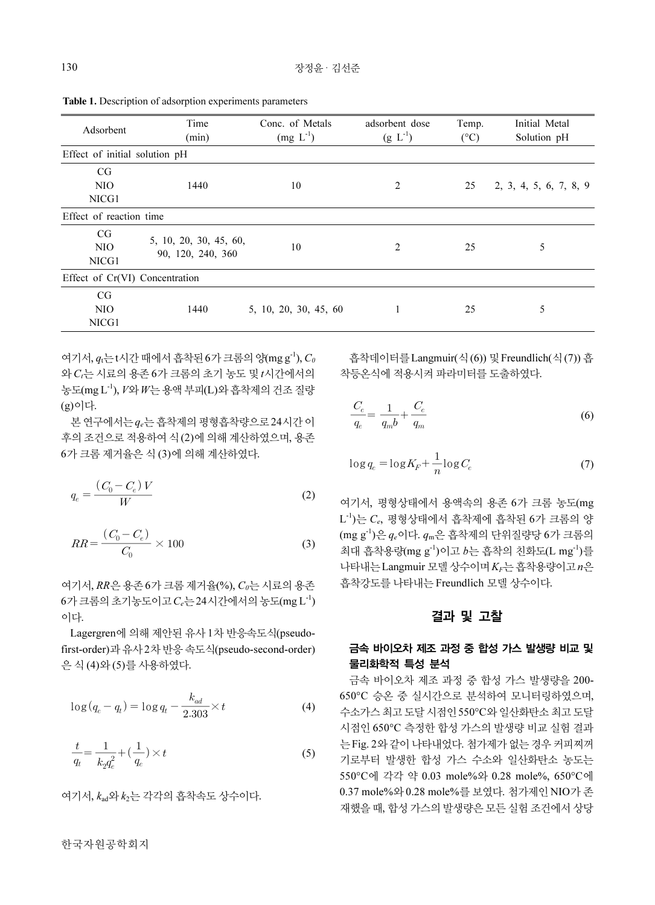| 130    |                                                                                     |                                                                                                                                                                                | 장정윤 · 김선준             |                                                                                                                                                |                     |                                                                   |
|--------|-------------------------------------------------------------------------------------|--------------------------------------------------------------------------------------------------------------------------------------------------------------------------------|-----------------------|------------------------------------------------------------------------------------------------------------------------------------------------|---------------------|-------------------------------------------------------------------|
|        |                                                                                     | Table 1. Description of adsorption experiments parameters<br>Time                                                                                                              | Conc. of Metals       | adsorbent dose                                                                                                                                 | Temp.               | Initial Metal                                                     |
|        | Adsorbent<br>Effect of initial solution pH<br>CG<br>NIO                             | (min)<br>1440                                                                                                                                                                  | $(mg L-1)$<br>10      | $(g L^{-1})$<br>2                                                                                                                              | $(^{\circ}C)$<br>25 | Solution pH<br>2, 3, 4, 5, 6, 7, 8, 9                             |
|        | NICG1<br>Effect of reaction time<br>CG                                              | 5, 10, 20, 30, 45, 60,                                                                                                                                                         |                       |                                                                                                                                                |                     |                                                                   |
|        | <b>NIO</b><br>NICG1<br>Effect of Cr(VI) Concentration<br>$\mathbf{C}\mathbf{G}$     | 90, 120, 240, 360                                                                                                                                                              | 10                    | 2                                                                                                                                              | 25                  | 5                                                                 |
|        | <b>NIO</b><br>NICG1                                                                 | 1440                                                                                                                                                                           | 5, 10, 20, 30, 45, 60 | 1                                                                                                                                              | 25                  | 5                                                                 |
| (g)이다. |                                                                                     | 여기서, $q_t = t\lambda$ 간 때에서 흡착된 6가 크롬의 양(mg g <sup>-1</sup> ), $C_0$<br>와 C <sub>r</sub> 는 시료의 용존 6가 크롬의 초기 농도 및 t시간에서의<br>농도(mg L <sup>-1</sup> ), V와 W는 용액 부피(L)와 흡착제의 건조 질량 |                       | 착등온식에 적용시켜 파라미터를 도출하였다.                                                                                                                        |                     | 흡착데이터를 Langmuir(식(6)) 및 Freundlich(식(7)) 흡                        |
|        |                                                                                     | 본 연구에서는 qe는 흡착제의 평형흡착량으로 24시간 이<br>후의 조건으로 적용하여 식 (2)에 의해 계산하였으며, 용존<br>6가 크롬 제거율은 식 (3)에 의해 계산하였다.                                                                            |                       | $\frac{C_e}{q_e} = \frac{1}{q_{m}b} + \frac{C_e}{q_{m}}$<br>$\log q_e = \log K_F + \frac{1}{n} \log C_e$                                       |                     | (6)<br>(7)                                                        |
|        | $q_e = \frac{\left(\,C_0 - C_e\right) \,V}{W} \label{eq:q_e}$                       |                                                                                                                                                                                | (2)                   | 여기서, 평형상태에서 용액속의 용존 6가 크롬 농도(mg<br>$L^{-1}$ )는 $C_e$ , 평형상태에서 흡착제에 흡착된 6가 크롬의 양                                                                |                     |                                                                   |
|        | $RR = \frac{\left ( \emph{C}_{0} - \emph{C}_{e} \right )}{\emph{C}_{0}} \times 100$ |                                                                                                                                                                                | (3)                   | $(\text{mg g}^{-1})$ 은 $q_e$ 이다. $q_m$ 은 흡착제의 단위질량당 6가 크롬의<br>최대 흡착용량(mg g-1)이고 b는 흡착의 친화도(L mg-1)를<br>나타내는 Langmuir 모델 상수이며 KF는 흡착용량이고 n은     |                     |                                                                   |
| 이다.    |                                                                                     | 여기서, RR은 용존 6가 크롬 제거율(%), Co는 시료의 용존<br>$6$ 가 크롬의 초기농도이고 $C_e$ 는 24시간에서의 농도(mg L <sup>-1</sup> )                                                                               |                       | 흡착강도를 나타내는 Freundlich 모델 상수이다.                                                                                                                 | 결과 및 고찰             |                                                                   |
|        | 은 식 (4)와 (5)를 사용하였다.                                                                | Lagergren에 의해 제안된 유사 1차 반응속도식(pseudo-<br>first-order)과 유사 2차 반응 속도식(pseudo-second-order)                                                                                       |                       | 물리화학적 특성 분석                                                                                                                                    |                     | 금속 바이오차 제조 과정 중 합성 가스 발생량 비교 및<br>금속 바이오차 제조 과정 중 합성 가스 발생량을 200- |
|        | $\log (q_e - q_t) = \log q_t - \frac{k_{ad}}{2.303} \times t$                       |                                                                                                                                                                                | (4)                   | 650℃ 승온 중 실시간으로 분석하여 모니터링하였으며,<br>수소가스 최고 도달 시점인 550°C와 일산화탄소 최고 도달<br>시점인 650℃ 측정한 합성 가스의 발생량 비교 실험 결과<br>는 Fig. 2와 같이 나타내었다. 첨가제가 없는 경우 커피찌꺼 |                     |                                                                   |
|        | $\frac{t}{-} = \frac{1}{2} + (\frac{1}{2}) \times t$                                |                                                                                                                                                                                | (5)                   |                                                                                                                                                |                     |                                                                   |

Table 1. Description of adsorption experiments parameters

$$
q_e = \frac{(C_0 - C_e)V}{W}
$$
 (2)

$$
RR = \frac{(C_0 - C_e)}{C_0} \times 100
$$
 (3)

$$
\log(q_e - q_t) = \log q_t - \frac{k_{ad}}{2.303} \times t \tag{4}
$$

$$
\frac{t}{q_t} = \frac{1}{k_2 q_e^2} + \left(\frac{1}{q_e}\right) \times t
$$
\n(5)

여기서, kad와 k2는 각각의 흡착속도 상수이다.

한국자원공학회지

$$
\frac{C_e}{q_e} = \frac{1}{q_m b} + \frac{C_e}{q_m} \tag{6}
$$

$$
\log q_e = \log K_F + \frac{1}{n} \log C_e \tag{7}
$$

#### 결과 및 고찰

## 금속 바이오차 제조 과정 중 합성 가스 발생량 비교 및 물리화학적 특성 분석

금속 바이오차 제조 과정 중 합성 가스 발생량을 200- 650°C 승온 중 실시간으로 분석하여 모니터링하였으며, 수소가스 최고 도달 시점인 550°C와 일산화탄소 최고 도달 시점인 650°C 측정한 합성 가스의 발생량 비교 실험 결과 는 Fig. 2와 같이 나타내었다. 첨가제가 없는 경우 커피찌꺼 기로부터 발생한 합성 가스 수소와 일산화탄소 농도는 550°C에 각각 약 0.03 mole%와 0.28 mole%, 650°C에 0.37 mole%와 0.28 mole%를 보였다. 첨가제인 NIO가 존 재했을 때, 합성 가스의 발생량은 모든 실험 조건에서 상당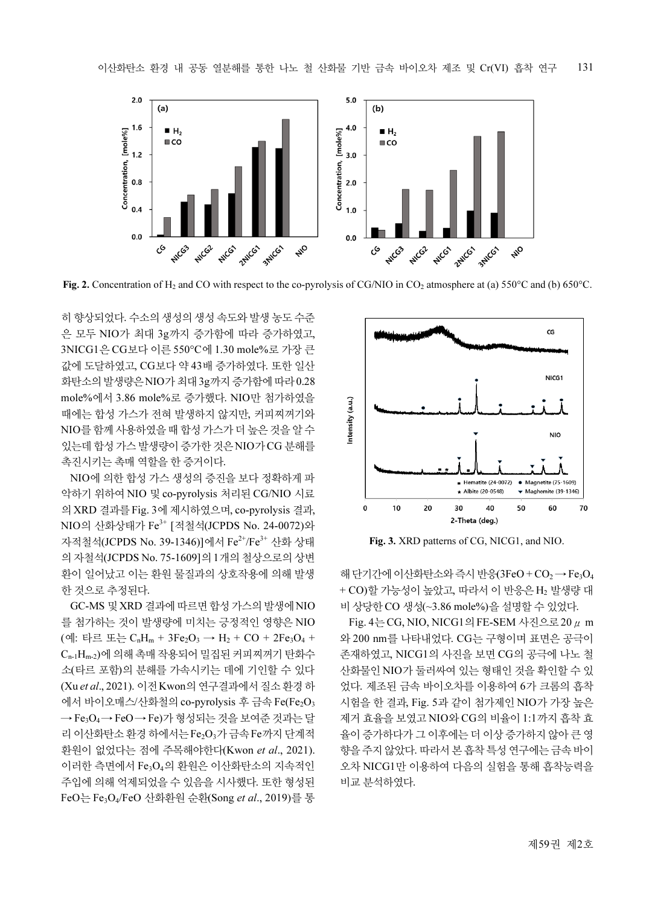

Fig. 2. Concentration of H<sub>2</sub> and CO with respect to the co-pyrolysis of CG/NIO in CO<sub>2</sub> atmosphere at (a) 550°C and (b) 650°C.

히 향상되었다. 수소의 생성의 생성 속도와 발생 농도 수준 은 모두 NIO가 최대 3g까지 증가함에 따라 증가하였고, 3NICG1은 CG보다 이른 550°C에 1.30 mole%로 가장 큰 값에 도달하였고, CG보다 약43배 증가하였다. 또한 일산 화탄소의 발생량은 NIO가 최대 3g까지 증가함에 따라 0.28 mole%에서 3.86 mole%로 증가했다. NIO만 첨가하였을 때에는 합성 가스가 전혀 발생하지 않지만, 커피찌꺼기와 NIO를 함께 사용하였을 때 합성 가스가 더 높은 것을 알 수 있는데 합성 가스 발생량이 증가한 것은 NIO가 CG 분해를 촉진시키는 촉매 역할을 한 증거이다.

NIO에 의한 합성 가스 생성의 증진을 보다 정확하게 파 악하기 위하여 NIO 및 co-pyrolysis 처리된 CG/NIO 시료 의 XRD 결과를 Fig. 3에 제시하였으며, co-pyrolysis 결과, NIO의 산화상태가 Fe3+ [적철석(JCPDS No. 24-0072)와 자적철석(JCPDS No. 39-1346)]에서 Fe2+/Fe3+ 산화 상태 의 자철석(JCPDS No. 75-1609]의 1개의 철상으로의 상변 환이 일어났고 이는 환원 물질과의 상호작용에 의해 발생 한 것으로 추정된다.

GC-MS 및 XRD 결과에 따르면 합성 가스의 발생에 NIO 를 첨가하는 것이 발생량에 미치는 긍정적인 영향은 NIO (예: 타르 또는  $C_nH_m + 3Fe_2O_3 \rightarrow H_2 + CO + 2Fe_3O_4 +$ Cn-1Hm-2)에 의해 촉매 작용되어 밀집된 커피찌꺼기 탄화수 소(타르 포함)의 분해를 가속시키는 데에 기인할 수 있다 (Xu et al., 2021). 이전 Kwon의 연구결과에서 질소 환경 하 에서 바이오매스/산화철의 co-pyrolysis 후 금속 Fe(Fe<sub>2</sub>O<sub>3</sub> → Fe3O4 → FeO→ Fe)가 형성되는 것을 보여준 것과는 달 리 이산화탄소 환경 하에서는 Fe<sub>2</sub>O<sub>3</sub>가 금속 Fe까지 단계적 환원이 없었다는 점에 주목해야한다(Kwon et al., 2021). 이러한 측면에서 Fe3O4의 환원은 이산화탄소의 지속적인 주입에 의해 억제되었을 수 있음을 시사했다. 또한 형성된 FeO는 Fe3O4/FeO 산화환원 순환(Song et al., 2019)를 통



Fig. 3. XRD patterns of CG, NICG1, and NIO.

해 단기간에 이산화탄소와 즉시 반응 $(3FeO + CO<sub>2</sub> \rightarrow Fe<sub>3</sub>O<sub>4</sub>)$ + CO)할 가능성이 높았고, 따라서 이 반응은 H<sup>2</sup> 발생량 대 비 상당한 CO 생성(~3.86 mole%)을 설명할 수 있었다.

Fig. 4는 CG, NIO, NICG1의 FE-SEM 사진으로 20  $\mu$  m 와 200 nm를 나타내었다. CG는 구형이며 표면은 공극이 존재하였고, NICG1의 사진을 보면 CG의 공극에 나노 철 산화물인 NIO가 둘러싸여 있는 형태인 것을 확인할 수 있 었다. 제조된 금속 바이오차를 이용하여 6가 크롬의 흡착 시험을 한 결과, Fig. 5과 같이 첨가제인 NIO가 가장 높은 제거 효율을 보였고 NIO와 CG의 비율이 1:1까지 흡착 효 율이 증가하다가 그 이후에는 더 이상 증가하지 않아 큰 영 향을 주지 않았다. 따라서 본 흡착 특성 연구에는 금속 바이 오차 NICG1만 이용하여 다음의 실험을 통해 흡착능력을 비교 분석하였다.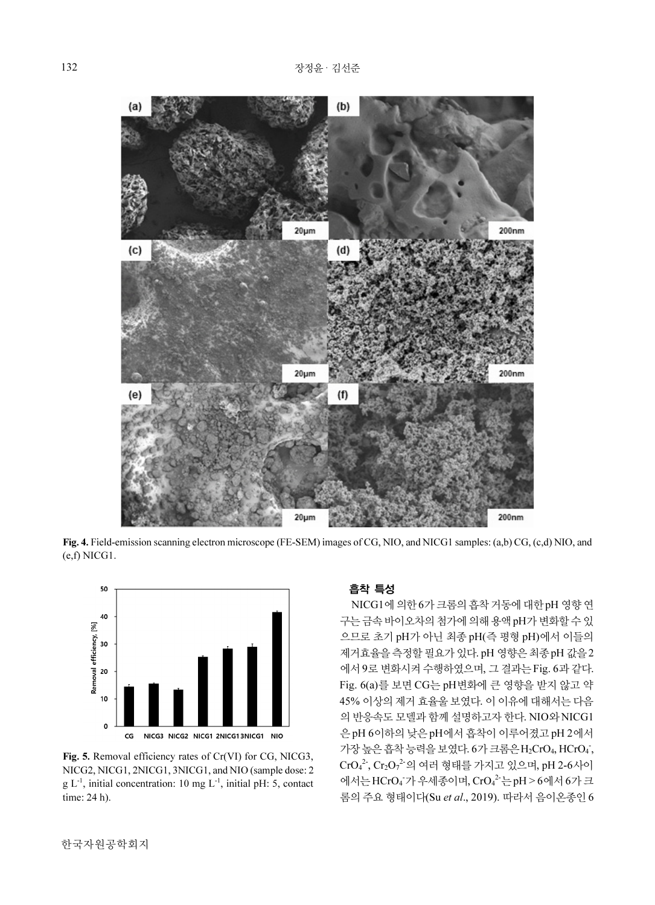

Fig. 4. Field-emission scanning electron microscope (FE-SEM) images of CG, NIO, and NICG1 samples: (a,b) CG, (c,d) NIO, and (e,f) NICG1.



Fig. 5. Removal efficiency rates of Cr(VI) for CG, NICG3, NICG2, NICG1, 2NICG1, 3NICG1, and NIO (sample dose: 2  $g L^{-1}$ , initial concentration: 10 mg  $L^{-1}$ , initial pH: 5, contact time: 24 h).

## 흡착 특성

 NICG1에 의한 6가 크롬의 흡착 거동에 대한 pH 영향 연 구는 금속 바이오차의 첨가에 의해 용액 pH가 변화할 수 있 으므로 초기 pH가 아닌 최종 pH(즉 평형 pH)에서 이들의 제거효율을 측정할필요가 있다. pH 영향은 최종pH 값을 2 에서 9로 변화시켜 수행하였으며, 그 결과는 Fig. 6과 같다. Fig. 6(a)를 보면 CG는 pH변화에 큰 영향을 받지 않고 약 45% 이상의 제거 효율울 보였다. 이 이유에 대해서는 다음 의 반응속도 모델과 함께설명하고자 한다. NIO와 NICG1 은 pH 6이하의 낮은 pH에서 흡착이 이루어졌고 pH 2에서 가장 높은 흡착 능력을 보였다. 6가 크롬은 H<sub>2</sub>CrO<sub>4</sub>, HCrO<sub>4</sub>,  $\text{CrO}_4^2$ ,  $\text{Cr}_2\text{O}_7^2$ 의 여러 형태를 가지고 있으며, pH 2-6사이 에서는 HCrO<sub>4</sub> 가 우세종이며, CrO<sub>4</sub><sup>2</sup> 는 pH > 6에서 6가 크 롬의 주요 형태이다(Su et al., 2019). 따라서 음이온종인 6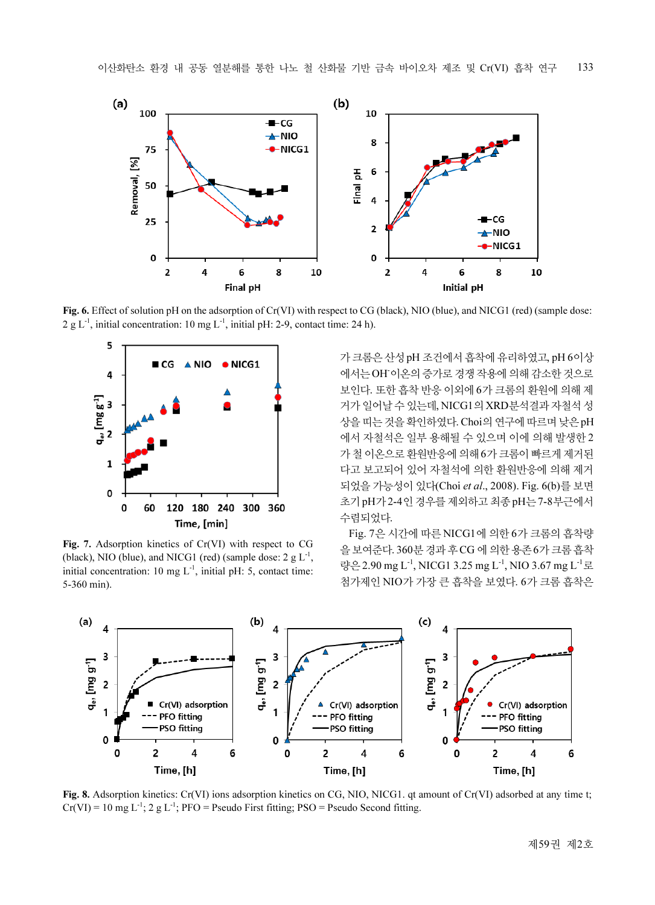

Fig. 6. Effect of solution pH on the adsorption of Cr(VI) with respect to CG (black), NIO (blue), and NICG1 (red) (sample dose:  $2 g L<sup>-1</sup>$ , initial concentration: 10 mg  $L<sup>-1</sup>$ , initial pH: 2-9, contact time: 24 h).



Fig. 7. Adsorption kinetics of Cr(VI) with respect to CG (black), NIO (blue), and NICG1 (red) (sample dose:  $2 \text{ g L}^{-1}$ , initial concentration: 10 mg  $L^{-1}$ , initial pH: 5, contact time: 5-360 min).

가 크롬은 산성 pH 조건에서 흡착에 유리하였고, pH 6이상 에서는 OH-이온의 증가로 경쟁작용에 의해 감소한 것으로 보인다. 또한 흡착 반응 이외에 6가 크롬의 환원에 의해 제 거가 일어날 수 있는데, NICG1의 XRD분석결과 자철석 성 상을 띠는 것을 확인하였다. Choi의 연구에 따르며 낮은 pH 에서 자철석은 일부 용해될 수 있으며 이에 의해 발생한 2 가 철 이온으로 환원반응에 의해 6가 크롬이 빠르게 제거된 다고 보고되어 있어 자철석에 의한 환원반응에 의해 제거 되었을 가능성이 있다(Choi et al., 2008). Fig. 6(b)를 보면 초기 pH가 2-4인 경우를 제외하고 최종pH는 7-8부근에서 수렴되었다.

Fig. 7은 시간에 따른 NICG1에 의한 6가 크롬의 흡착량 을 보여준다. 360분 경과 후CG 에 의한 용존 6가 크롬 흡착 량은 2.90 mg L<sup>-1</sup>, NICG1 3.25 mg L<sup>-1</sup>, NIO 3.67 mg L<sup>-1</sup>로 첨가제인 NIO가 가장 큰 흡착을 보였다. 6가 크롬 흡착은



Fig. 8. Adsorption kinetics: Cr(VI) ions adsorption kinetics on CG, NIO, NICG1. qt amount of Cr(VI) adsorbed at any time t;  $Cr(VI) = 10$  mg  $L^{-1}$ ; 2 g  $L^{-1}$ ; PFO = Pseudo First fitting; PSO = Pseudo Second fitting.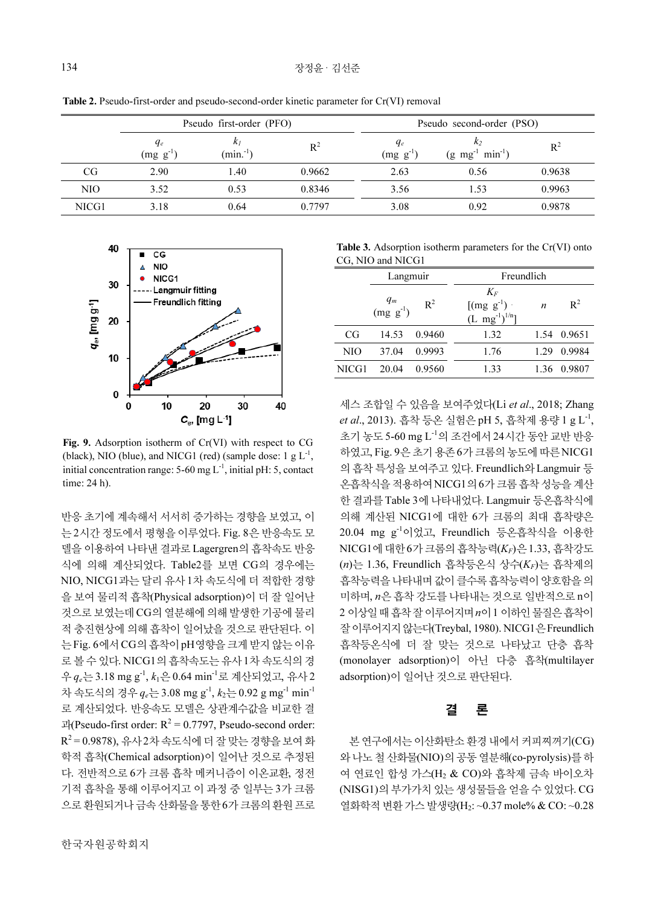NICG1 3.18 0.64 0.7797 3.08 0.92 0.9878

|     | Those II I because they clube and poetice become clube mineric parameter for City (1) removal<br>Pseudo first-order (PFO) |                       |        | Pseudo second-order (PSO) |                                        |        |
|-----|---------------------------------------------------------------------------------------------------------------------------|-----------------------|--------|---------------------------|----------------------------------------|--------|
|     | $q_e$<br>$(mg g^{-1})$                                                                                                    | $K_I$<br>$(min^{-1})$ | $R^2$  | $q_e$<br>$(mg g-1)$       | $(g \text{ mg}^{-1} \text{ min}^{-1})$ | $R^2$  |
| CG  | 2.90                                                                                                                      | 1.40                  | 0.9662 | 2.63                      | 0.56                                   | 0.9638 |
| NIO | 3.52                                                                                                                      | 0.53                  | 0.8346 | 3.56                      | .53                                    | 0.9963 |
|     |                                                                                                                           |                       |        |                           |                                        |        |

Table 2. Pseudo-first-order and pseudo-second-order kinetic parameter for Cr(VI) removal



Fig. 9. Adsorption isotherm of Cr(VI) with respect to CG (black), NIO (blue), and NICG1 (red) (sample dose:  $1 \text{ g L}^{-1}$ , initial concentration range:  $5-60$  mg  $L^{-1}$ , initial pH: 5, contact time: 24 h).

반응 초기에 계속해서 서서히 증가하는 경향을 보였고, 이 는 2시간 정도에서 평형을 이루었다. Fig. 8은 반응속도 모 델을이용하여 나타낸결과로 Lagergren의 흡착속도 반응 식에 의해 계산되었다. Table2를 보면 CG의 경우에는 NIO, NICG1과는 달리 유사 1차 속도식에 더 적합한 경향 을 보여 물리적 흡착(Physical adsorption)이 더 잘 일어난 것으로 보였는데 CG의 열분해에 의해 발생한 기공에 물리 적 충진현상에 의해 흡착이 일어났을 것으로 판단된다. 이 는 Fig. 6에서 CG의 흡착이 pH영향을 크게 받지 않는 이유 로 볼 수 있다. NICG1의 흡착속도는 유사 1차 속도식의 경 우  $q_e = 3.18$  mg g<sup>-1</sup>,  $k_1 = 0.64$  min<sup>-1</sup>로 계산되었고, 유사 2 차 속도식의 경우  $q_e = 3.08$  mg g<sup>-1</sup>,  $k_2 = 0.92$  g mg<sup>-1</sup> min<sup>-1</sup> 로 계산되었다. 반응속도 모델은 상관계수값을 비교한 결 과(Pseudo-first order:  $R^2 = 0.7797$ , Pseudo-second order:  ${\rm R^2}$ =0.9878), 유사 2차 속도식에 더 잘 맞는 경향을 보여 화 학적 흡착(Chemical adsorption)이 일어난 것으로 추정된 다. 전반적으로 6가 크롬 흡착 메커니즘이 이온교환, 정전 기적 흡착을 통해 이루어지고 이 과정 중 일부는 3가 크롬 으로 환원되거나 금속 산화물을 통한 6가 크롬의 환원 프로

Table 3. Adsorption isotherm parameters for the Cr(VI) onto CG, NIO and NICG1

| CG, NIO and NICG1 |                     |        |                                                   |                  |             |  |  |
|-------------------|---------------------|--------|---------------------------------------------------|------------------|-------------|--|--|
|                   | Langmuir            |        | Freundlich                                        |                  |             |  |  |
|                   | $q_m$<br>$(mg g-1)$ | $R^2$  | $K_F$<br>$[(mg g-1)$ .<br>$(L \, mg^{-1})^{1/n}]$ | $\boldsymbol{n}$ | $R^2$       |  |  |
| CG                | 14.53               | 0.9460 | 1.32                                              |                  | 1.54 0.9651 |  |  |
| NIO               | 37.04               | 0.9993 | 1.76                                              | 1.29             | 0.9984      |  |  |
| NICG1             | 20.04               | 0.9560 | 1.33                                              | 1.36             | 0.9807      |  |  |

세스 조합일 수 있음을 보여주었다(Li *et al.*, 2018; Zhang et al., 2013). 흡착 등온 실험은 pH 5, 흡착제 용량 1 g L<sup>-1</sup>, 초기 농도 5-60 mg L-1의 조건에서 24시간 동안 교반 반응 하였고, Fig. 9은 초기 용존 6가 크롬의 농도에 따른 NICG1 의 흡착 특성을 보여주고 있다. Freundlich와 Langmuir 등 온흡착식을 적용하여 NICG1의 6가 크롬 흡착 성능을 계산 한 결과를 Table 3에 나타내었다. Langmuir 등온흡착식에 의해 계산된 NICG1에 대한 6가 크롬의 최대 흡착량은 20.04 mg g-1이었고, Freundlich 등온흡착식을 이용한  $NICG1$ 에 대한 6가 크롬의 흡착능력 $(K_F)$ 은 1.33, 흡착강도  $(n)$ 는 1.36, Freundlich 흡착등온식 상수 $(K_F)$ 는 흡착제의 흡착능력을 나타내며 값이 클수록 흡착능력이 양호함을 의 미하며, n은 흡착 강도를 나타내는 것으로 일반적으로 n이 2 이상일 때 흡착 잘 이루어지며 n이 1 이하인 물질은 흡착이 잘 이루어지지 않는다(Treybal, 1980). NICG1은 Freundlich 흡착등온식에 더 잘 맞는 것으로 나타났고 단층 흡착 (monolayer adsorption)이 아닌 다층 흡착(multilayer adsorption)이 일어난 것으로 판단된다.

## 결 론

본 연구에서는 이산화탄소 환경 내에서 커피찌꺼기(CG) 와 나노 철 산화물(NIO)의 공동 열분해(co-pyrolysis)를 하 여 연료인 합성 가스(H2 & CO)와 흡착제 금속 바이오차 (NISG1)의 부가가치 있는 생성물들을 얻을 수 있었다. CG 열화학적 변환 가스 발생량(H2: ~0.37 mole% & CO: ~0.28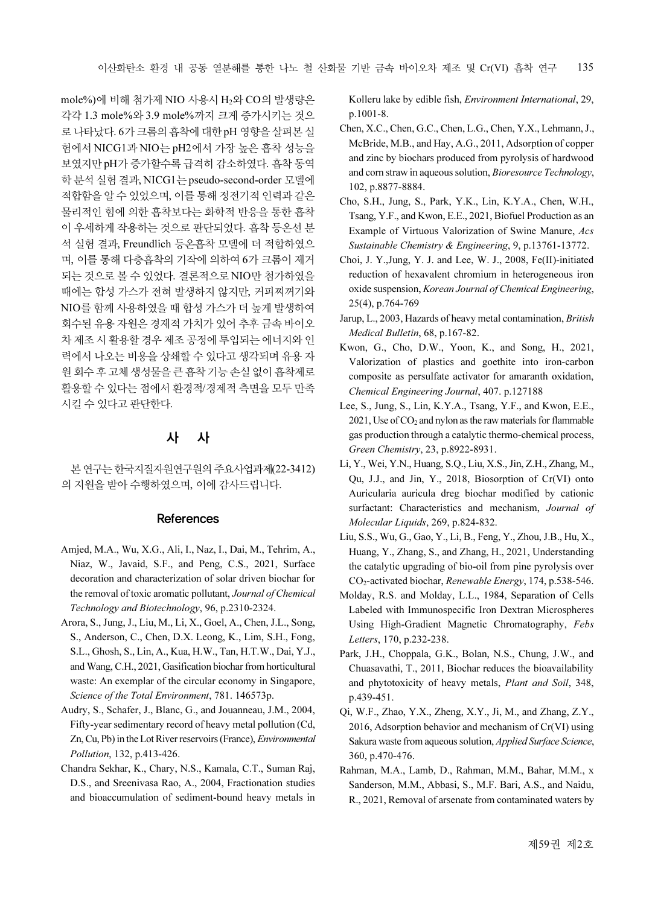mole%)에 비해 첨가제 NIO 사용시 H<sub>2</sub>와 CO의 발생량은 각각 1.3 mole%와 3.9 mole%까지 크게 증가시키는 것으 로 나타났다. 6가 크롬의 흡착에 대한 pH 영향을 살펴본 실 험에서 NICG1과 NIO는 pH2에서 가장 높은 흡착 성능을 보였지만 pH가 증가할수록 급격히 감소하였다. 흡착 동역 학 분석 실험 결과, NICG1는 pseudo-second-order 모델에 적합함을 알 수 있었으며, 이를 통해 정전기적 인력과 같은 물리적인 힘에 의한 흡착보다는 화학적 반응을 통한 흡착 이 우세하게 작용하는 것으로 판단되었다. 흡착 등온선 분 석 실험 결과, Freundlich 등온흡착 모델에 더 적합하였으 며, 이를 통해 다층흡착의 기작에 의하여 6가 크롬이 제거 되는 것으로 볼 수 있었다. 결론적으로 NIO만 첨가하였을 때에는 합성 가스가 전혀 발생하지 않지만, 커피찌꺼기와 NIO를 함께 사용하였을 때 합성 가스가 더 높게 발생하여 회수된 유용 자원은 경제적 가치가 있어 추후 금속 바이오 차 제조 시 활용할 경우 제조 공정에 투입되는 에너지와 인 력에서 나오는 비용을 상쇄할 수 있다고 생각되며 유용 자 원 회수 후 고체 생성물을 큰 흡착 기능 손실 없이 흡착제로 활용할 수 있다는 점에서 환경적/경제적 측면을 모두 만족 시킬 수 있다고 판단한다.

## 사 사

본 연구는 한국지질자원연구원의 주요사업과제(22-3412) 의 지원을 받아 수행하였으며, 이에 감사드립니다.

#### References

- Amjed, M.A., Wu, X.G., Ali, I., Naz, I., Dai, M., Tehrim, A., Niaz, W., Javaid, S.F., and Peng, C.S., 2021, Surface decoration and characterization of solar driven biochar for the removal of toxic aromatic pollutant, Journal of Chemical Technology and Biotechnology, 96, p.2310-2324.
- Arora, S., Jung, J., Liu, M., Li, X., Goel, A., Chen, J.L., Song, S., Anderson, C., Chen, D.X. Leong, K., Lim, S.H., Fong, S.L., Ghosh, S., Lin, A., Kua, H.W., Tan, H.T.W., Dai, Y.J., and Wang, C.H., 2021, Gasification biochar from horticultural waste: An exemplar of the circular economy in Singapore, Science of the Total Environment, 781. 146573p.
- Audry, S., Schafer, J., Blanc, G., and Jouanneau, J.M., 2004, Fifty-year sedimentary record of heavy metal pollution (Cd, Zn, Cu, Pb) in the Lot River reservoirs (France), Environmental Pollution, 132, p.413-426.
- Chandra Sekhar, K., Chary, N.S., Kamala, C.T., Suman Raj, D.S., and Sreenivasa Rao, A., 2004, Fractionation studies and bioaccumulation of sediment-bound heavy metals in

Kolleru lake by edible fish, Environment International, 29, p.1001-8.

- Chen, X.C., Chen, G.C., Chen, L.G., Chen, Y.X., Lehmann, J., McBride, M.B., and Hay, A.G., 2011, Adsorption of copper and zinc by biochars produced from pyrolysis of hardwood and corn straw in aqueous solution, Bioresource Technology, 102, p.8877-8884.
- Cho, S.H., Jung, S., Park, Y.K., Lin, K.Y.A., Chen, W.H., Tsang, Y.F., and Kwon, E.E., 2021, Biofuel Production as an Example of Virtuous Valorization of Swine Manure, Acs Sustainable Chemistry & Engineering, 9, p.13761-13772.
- Choi, J. Y.,Jung, Y. J. and Lee, W. J., 2008, Fe(II)-initiated reduction of hexavalent chromium in heterogeneous iron oxide suspension, Korean Journal of Chemical Engineering, 25(4), p.764-769
- Jarup, L., 2003, Hazards of heavy metal contamination, British Medical Bulletin, 68, p.167-82.
- Kwon, G., Cho, D.W., Yoon, K., and Song, H., 2021, Valorization of plastics and goethite into iron-carbon composite as persulfate activator for amaranth oxidation, Chemical Engineering Journal, 407. p.127188
- Lee, S., Jung, S., Lin, K.Y.A., Tsang, Y.F., and Kwon, E.E.,  $2021$ , Use of  $CO<sub>2</sub>$  and nylon as the raw materials for flammable gas production through a catalytic thermo-chemical process, Green Chemistry, 23, p.8922-8931.
- Li, Y., Wei, Y.N., Huang, S.Q., Liu, X.S., Jin, Z.H., Zhang, M., Qu, J.J., and Jin, Y., 2018, Biosorption of Cr(VI) onto Auricularia auricula dreg biochar modified by cationic surfactant: Characteristics and mechanism, Journal of Molecular Liquids, 269, p.824-832.
- Liu, S.S., Wu, G., Gao, Y., Li, B., Feng, Y., Zhou, J.B., Hu, X., Huang, Y., Zhang, S., and Zhang, H., 2021, Understanding the catalytic upgrading of bio-oil from pine pyrolysis over CO2-activated biochar, Renewable Energy, 174, p.538-546.
- Molday, R.S. and Molday, L.L., 1984, Separation of Cells Labeled with Immunospecific Iron Dextran Microspheres Using High-Gradient Magnetic Chromatography, Febs Letters, 170, p.232-238.
- Park, J.H., Choppala, G.K., Bolan, N.S., Chung, J.W., and Chuasavathi, T., 2011, Biochar reduces the bioavailability and phytotoxicity of heavy metals, Plant and Soil, 348, p.439-451.
- Qi, W.F., Zhao, Y.X., Zheng, X.Y., Ji, M., and Zhang, Z.Y., 2016, Adsorption behavior and mechanism of Cr(VI) using Sakura waste from aqueous solution, *Applied Surface Science*, 360, p.470-476.
- Rahman, M.A., Lamb, D., Rahman, M.M., Bahar, M.M., x Sanderson, M.M., Abbasi, S., M.F. Bari, A.S., and Naidu, R., 2021, Removal of arsenate from contaminated waters by